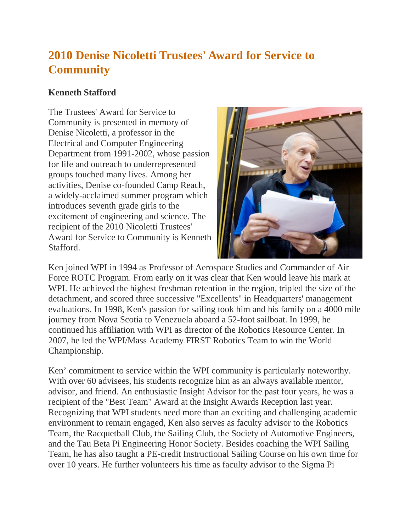## **2010 Denise Nicoletti Trustees' Award for Service to Community**

## **Kenneth Stafford**

The Trustees' Award for Service to Community is presented in memory of Denise Nicoletti, a professor in the Electrical and Computer Engineering Department from 1991-2002, whose passion for life and outreach to underrepresented groups touched many lives. Among her activities, Denise co-founded Camp Reach, a widely-acclaimed summer program which introduces seventh grade girls to the excitement of engineering and science. The recipient of the 2010 Nicoletti Trustees' Award for Service to Community is Kenneth Stafford.



Ken joined WPI in 1994 as Professor of Aerospace Studies and Commander of Air Force ROTC Program. From early on it was clear that Ken would leave his mark at WPI. He achieved the highest freshman retention in the region, tripled the size of the detachment, and scored three successive "Excellents" in Headquarters' management evaluations. In 1998, Ken's passion for sailing took him and his family on a 4000 mile journey from Nova Scotia to Venezuela aboard a 52-foot sailboat. In 1999, he continued his affiliation with WPI as director of the Robotics Resource Center. In 2007, he led the WPI/Mass Academy FIRST Robotics Team to win the World Championship.

Ken' commitment to service within the WPI community is particularly noteworthy. With over 60 advisees, his students recognize him as an always available mentor, advisor, and friend. An enthusiastic Insight Advisor for the past four years, he was a recipient of the "Best Team" Award at the Insight Awards Reception last year. Recognizing that WPI students need more than an exciting and challenging academic environment to remain engaged, Ken also serves as faculty advisor to the Robotics Team, the Racquetball Club, the Sailing Club, the Society of Automotive Engineers, and the Tau Beta Pi Engineering Honor Society. Besides coaching the WPI Sailing Team, he has also taught a PE-credit Instructional Sailing Course on his own time for over 10 years. He further volunteers his time as faculty advisor to the Sigma Pi